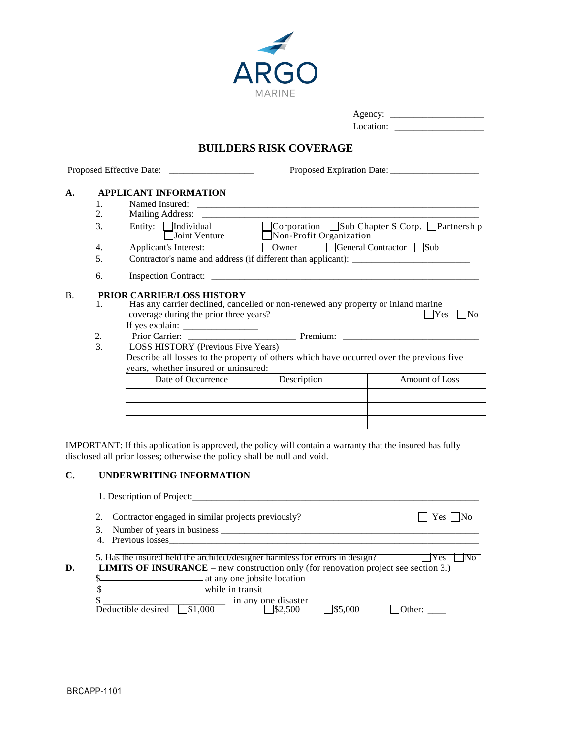

| Agency:   |
|-----------|
| Location: |

# **BUILDERS RISK COVERAGE**

| 1.       |                           |                                                                                            |                                                                                                                                                                                                                                                                                                                                                                                                                                                            |
|----------|---------------------------|--------------------------------------------------------------------------------------------|------------------------------------------------------------------------------------------------------------------------------------------------------------------------------------------------------------------------------------------------------------------------------------------------------------------------------------------------------------------------------------------------------------------------------------------------------------|
| 2.       |                           |                                                                                            |                                                                                                                                                                                                                                                                                                                                                                                                                                                            |
| 3.       | Entity: $\Box$ Individual |                                                                                            | □ Corporation □ Sub Chapter S Corp. □ Partnership                                                                                                                                                                                                                                                                                                                                                                                                          |
| 4.       |                           |                                                                                            |                                                                                                                                                                                                                                                                                                                                                                                                                                                            |
| 5.       |                           |                                                                                            |                                                                                                                                                                                                                                                                                                                                                                                                                                                            |
| 6.       |                           |                                                                                            |                                                                                                                                                                                                                                                                                                                                                                                                                                                            |
| 2.<br>3. |                           |                                                                                            | Yes<br>  No                                                                                                                                                                                                                                                                                                                                                                                                                                                |
|          | Date of Occurrence        | Description                                                                                | Amount of Loss                                                                                                                                                                                                                                                                                                                                                                                                                                             |
|          |                           |                                                                                            |                                                                                                                                                                                                                                                                                                                                                                                                                                                            |
|          | 1.                        | <b>APPLICANT INFORMATION</b><br>Applicant's Interest:<br><b>PRIOR CARRIER/LOSS HISTORY</b> | Joint Venture $\Box$ Non-Profit Organization<br>Owner General Contractor Sub<br>Has any carrier declined, cancelled or non-renewed any property or inland marine<br>coverage during the prior three years?<br>If yes explain: $\frac{1}{\sqrt{1-\frac{1}{2}} \cdot \frac{1}{2}}$<br>LOSS HISTORY (Previous Five Years)<br>Describe all losses to the property of others which have occurred over the previous five<br>years, whether insured or uninsured: |

IMPORTANT: If this application is approved, the policy will contain a warranty that the insured has fully disclosed all prior losses; otherwise the policy shall be null and void.

### **C. UNDERWRITING INFORMATION**

| 1. Description of Project: |  |
|----------------------------|--|
|                            |  |

|    |    | Contractor engaged in similar projects previously?<br>Yes.                                                                                                                         |
|----|----|------------------------------------------------------------------------------------------------------------------------------------------------------------------------------------|
|    | 3. | Number of years in business                                                                                                                                                        |
|    |    | 4. Previous losses                                                                                                                                                                 |
| D. |    | 5. Has the insured held the architect/designer harmless for errors in design?<br>Yes<br><b>LIMITS OF INSURANCE</b> – new construction only (for renovation project see section 3.) |
|    |    | at any one jobsite location                                                                                                                                                        |
|    |    | $\Box$ while in transit                                                                                                                                                            |
|    |    | in any one disaster<br>\$1,000<br>Deductible desired<br>1\$2,500<br>1\$5,000<br>$\cdot$ )ther:                                                                                     |

1. Description of Project: \_\_\_\_\_\_\_\_\_\_\_\_\_\_\_\_\_\_\_\_\_\_\_\_\_\_\_\_\_\_\_\_\_\_\_\_\_\_\_\_\_\_\_\_\_\_\_\_\_\_\_\_\_\_\_\_\_\_\_\_\_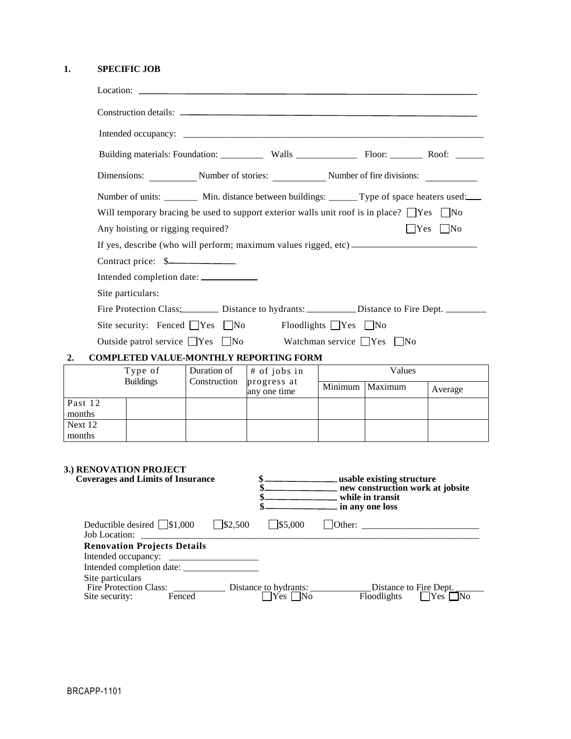## **1. SPECIFIC JOB**

|                                                                                                     |                                                                                                                                                                                                         |                   | Location:                                                                               |                 |                                                      |                      |
|-----------------------------------------------------------------------------------------------------|---------------------------------------------------------------------------------------------------------------------------------------------------------------------------------------------------------|-------------------|-----------------------------------------------------------------------------------------|-----------------|------------------------------------------------------|----------------------|
|                                                                                                     |                                                                                                                                                                                                         |                   |                                                                                         |                 |                                                      |                      |
|                                                                                                     |                                                                                                                                                                                                         |                   |                                                                                         |                 |                                                      |                      |
|                                                                                                     |                                                                                                                                                                                                         |                   |                                                                                         |                 |                                                      |                      |
|                                                                                                     |                                                                                                                                                                                                         |                   | Dimensions: Number of stories: Number of fire divisions:                                |                 |                                                      |                      |
|                                                                                                     | Number of units: _________ Min. distance between buildings: _______ Type of space heaters used:<br>Will temporary bracing be used to support exterior walls unit roof is in place? $\Box$ Yes $\Box$ No |                   |                                                                                         |                 |                                                      |                      |
|                                                                                                     | Any hoisting or rigging required?                                                                                                                                                                       |                   |                                                                                         |                 |                                                      | $ $ Yes $ $ No       |
|                                                                                                     | Contract price: \$<br>Site particulars:                                                                                                                                                                 |                   |                                                                                         |                 |                                                      |                      |
|                                                                                                     |                                                                                                                                                                                                         |                   | Fire Protection Class: <u>Distance</u> to hydrants: <u>Distance</u> to Fire Dept. 2014. |                 |                                                      |                      |
|                                                                                                     | Site security: Fenced $\Box$ Yes $\Box$ No                                                                                                                                                              |                   | $F$ loodlights $\Box$ Yes $\Box$ No                                                     |                 |                                                      |                      |
|                                                                                                     |                                                                                                                                                                                                         |                   | Outside patrol service $\Box$ Yes $\Box$ No Watchman service $\Box$ Yes $\Box$ No       |                 |                                                      |                      |
| 2.                                                                                                  |                                                                                                                                                                                                         |                   | <b>COMPLETED VALUE-MONTHLY REPORTING FORM</b>                                           |                 |                                                      |                      |
| Type of<br>Duration of<br>Values<br># of jobs in<br><b>Buildings</b><br>Construction<br>progress at |                                                                                                                                                                                                         |                   |                                                                                         |                 |                                                      |                      |
|                                                                                                     |                                                                                                                                                                                                         |                   | any one time                                                                            |                 | Minimum   Maximum                                    | Average              |
| Past 12<br>months                                                                                   |                                                                                                                                                                                                         |                   |                                                                                         |                 |                                                      |                      |
| Next 12<br>months                                                                                   |                                                                                                                                                                                                         |                   |                                                                                         |                 |                                                      |                      |
| Job Location:<br>Site particulars                                                                   | 3.) RENOVATION PROJECT<br><b>Coverages and Limits of Insurance</b><br>Deductible desired $\Box$ \$1,000<br><b>Renovation Projects Details</b><br>Intended occupancy:                                    | $\square$ \$2,500 | \$<br>\$.<br>\$.<br>$\Box$ \$5,000                                                      | in any one loss | new construction work at jobsite<br>while in transit |                      |
| Site security:                                                                                      | Fire Protection Class:<br>Fenced                                                                                                                                                                        |                   | Distance to hydrants:<br>$\Box$ Yes $\Box$ No                                           |                 | Distance to Fire Dept.<br>Floodlights                | $\Box$ Yes $\Box$ No |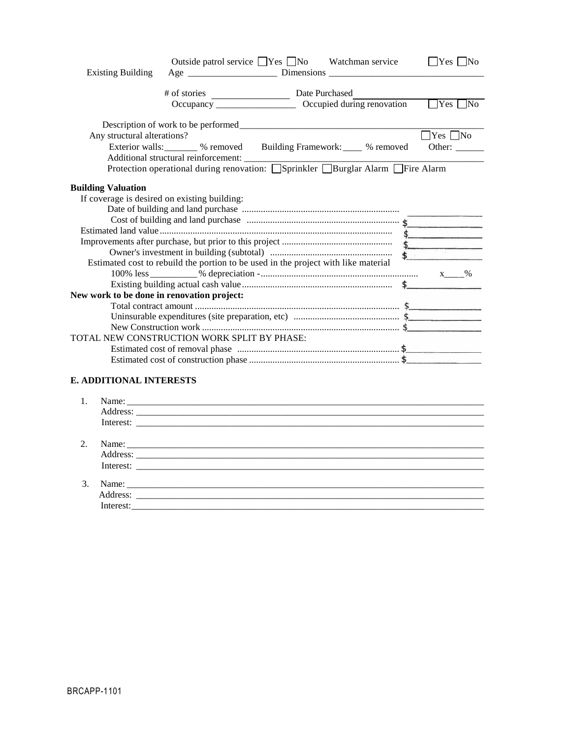|                                            |                                                                                    | Outside patrol service □ Yes □ No Watchman service                    | $\Box$ Yes $\Box$ No |
|--------------------------------------------|------------------------------------------------------------------------------------|-----------------------------------------------------------------------|----------------------|
| <b>Existing Building</b>                   |                                                                                    |                                                                       |                      |
|                                            |                                                                                    |                                                                       |                      |
|                                            |                                                                                    |                                                                       |                      |
|                                            |                                                                                    |                                                                       |                      |
|                                            |                                                                                    |                                                                       |                      |
| Any structural alterations?                |                                                                                    |                                                                       | $\Box$ Yes $\Box$ No |
|                                            |                                                                                    | Exterior walls: ________ % removed Building Framework: ____ % removed | Other:               |
|                                            |                                                                                    |                                                                       |                      |
|                                            |                                                                                    |                                                                       |                      |
|                                            |                                                                                    |                                                                       |                      |
| <b>Building Valuation</b>                  |                                                                                    |                                                                       |                      |
|                                            | If coverage is desired on existing building:                                       |                                                                       |                      |
|                                            |                                                                                    |                                                                       |                      |
|                                            |                                                                                    |                                                                       |                      |
|                                            |                                                                                    |                                                                       | $\frac{1}{2}$        |
|                                            |                                                                                    |                                                                       | $\frac{1}{2}$        |
|                                            |                                                                                    |                                                                       |                      |
|                                            | Estimated cost to rebuild the portion to be used in the project with like material |                                                                       |                      |
|                                            |                                                                                    |                                                                       |                      |
|                                            |                                                                                    |                                                                       |                      |
| New work to be done in renovation project: |                                                                                    |                                                                       |                      |
|                                            |                                                                                    |                                                                       |                      |
|                                            |                                                                                    |                                                                       |                      |
|                                            |                                                                                    |                                                                       |                      |
|                                            | TOTAL NEW CONSTRUCTION WORK SPLIT BY PHASE:                                        |                                                                       |                      |
|                                            |                                                                                    |                                                                       |                      |
|                                            |                                                                                    |                                                                       |                      |
| <b>E. ADDITIONAL INTERESTS</b>             |                                                                                    |                                                                       |                      |
| 1.                                         |                                                                                    |                                                                       |                      |
|                                            |                                                                                    |                                                                       |                      |
|                                            |                                                                                    |                                                                       |                      |
|                                            |                                                                                    |                                                                       |                      |

| C<br><u>L.</u> | Name:     |  |
|----------------|-----------|--|
|                | Address:  |  |
|                | Interest: |  |
|                |           |  |

| ∼<br>J. |  |
|---------|--|
|         |  |
|         |  |
|         |  |